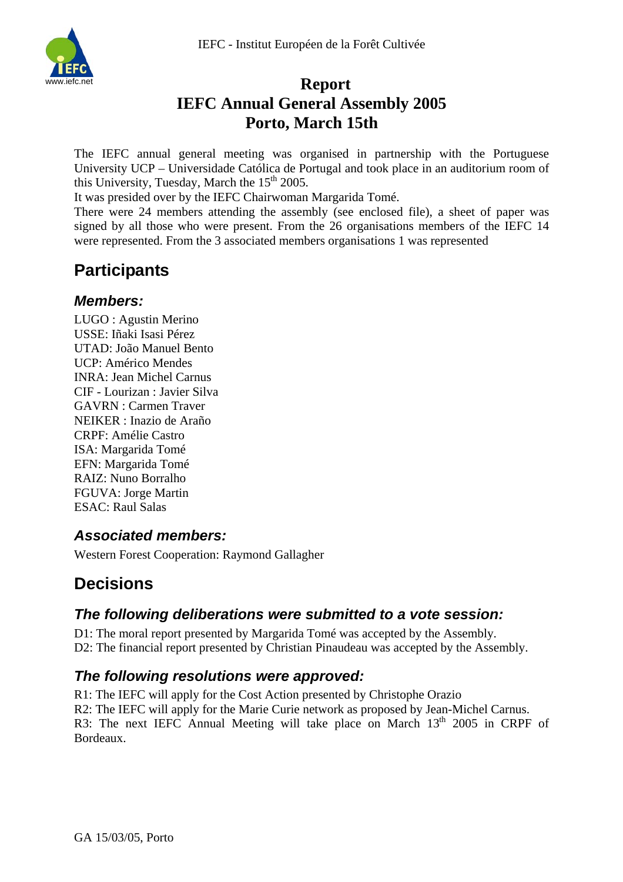

# **Report IEFC Annual General Assembly 2005 Porto, March 15th**

The IEFC annual general meeting was organised in partnership with the Portuguese University UCP – Universidade Católica de Portugal and took place in an auditorium room of this University, Tuesday, March the  $15<sup>th</sup> 2005$ .

It was presided over by the IEFC Chairwoman Margarida Tomé.

There were 24 members attending the assembly (see enclosed file), a sheet of paper was signed by all those who were present. From the 26 organisations members of the IEFC 14 were represented. From the 3 associated members organisations 1 was represented

# **Participants**

## *Members:*

LUGO : Agustin Merino USSE: Iñaki Isasi Pérez UTAD: João Manuel Bento UCP: Américo Mendes INRA: Jean Michel Carnus CIF - Lourizan : Javier Silva GAVRN : Carmen Traver NEIKER : Inazio de Araño CRPF: Amélie Castro ISA: Margarida Tomé EFN: Margarida Tomé RAIZ: Nuno Borralho FGUVA: Jorge Martin ESAC: Raul Salas

# *Associated members:*

Western Forest Cooperation: Raymond Gallagher

# **Decisions**

# *The following deliberations were submitted to a vote session:*

D1: The moral report presented by Margarida Tomé was accepted by the Assembly. D2: The financial report presented by Christian Pinaudeau was accepted by the Assembly.

# *The following resolutions were approved:*

R1: The IEFC will apply for the Cost Action presented by Christophe Orazio R2: The IEFC will apply for the Marie Curie network as proposed by Jean-Michel Carnus. R3: The next IEFC Annual Meeting will take place on March  $13<sup>th</sup>$  2005 in CRPF of Bordeaux.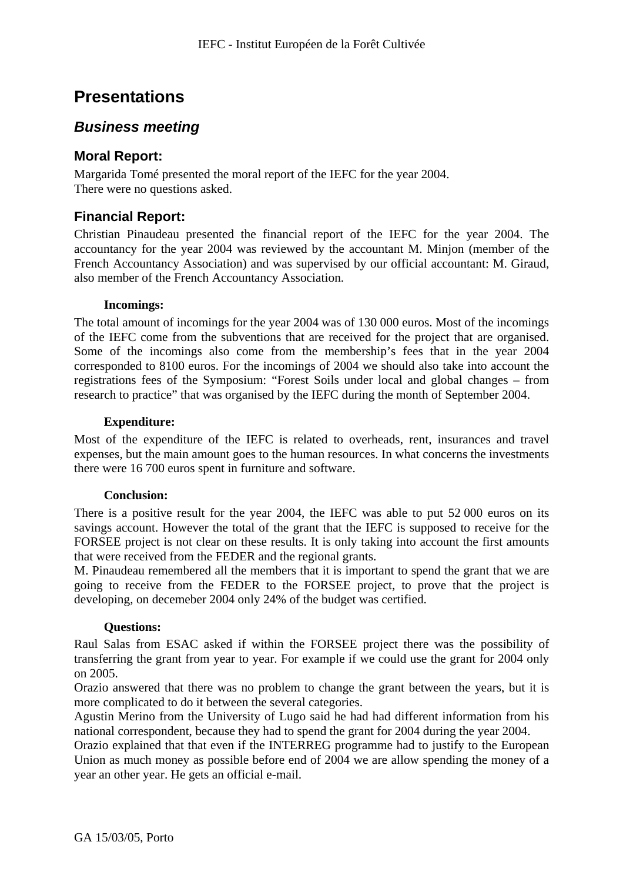# **Presentations**

### *Business meeting*

### **Moral Report:**

Margarida Tomé presented the moral report of the IEFC for the year 2004. There were no questions asked.

### **Financial Report:**

Christian Pinaudeau presented the financial report of the IEFC for the year 2004. The accountancy for the year 2004 was reviewed by the accountant M. Minjon (member of the French Accountancy Association) and was supervised by our official accountant: M. Giraud, also member of the French Accountancy Association.

### **Incomings:**

The total amount of incomings for the year 2004 was of 130 000 euros. Most of the incomings of the IEFC come from the subventions that are received for the project that are organised. Some of the incomings also come from the membership's fees that in the year 2004 corresponded to 8100 euros. For the incomings of 2004 we should also take into account the registrations fees of the Symposium: "Forest Soils under local and global changes – from research to practice" that was organised by the IEFC during the month of September 2004.

### **Expenditure:**

Most of the expenditure of the IEFC is related to overheads, rent, insurances and travel expenses, but the main amount goes to the human resources. In what concerns the investments there were 16 700 euros spent in furniture and software.

#### **Conclusion:**

There is a positive result for the year 2004, the IEFC was able to put 52 000 euros on its savings account. However the total of the grant that the IEFC is supposed to receive for the FORSEE project is not clear on these results. It is only taking into account the first amounts that were received from the FEDER and the regional grants.

M. Pinaudeau remembered all the members that it is important to spend the grant that we are going to receive from the FEDER to the FORSEE project, to prove that the project is developing, on decemeber 2004 only 24% of the budget was certified.

#### **Questions:**

Raul Salas from ESAC asked if within the FORSEE project there was the possibility of transferring the grant from year to year. For example if we could use the grant for 2004 only on 2005.

Orazio answered that there was no problem to change the grant between the years, but it is more complicated to do it between the several categories.

Agustin Merino from the University of Lugo said he had had different information from his national correspondent, because they had to spend the grant for 2004 during the year 2004.

Orazio explained that that even if the INTERREG programme had to justify to the European Union as much money as possible before end of 2004 we are allow spending the money of a year an other year. He gets an official e-mail.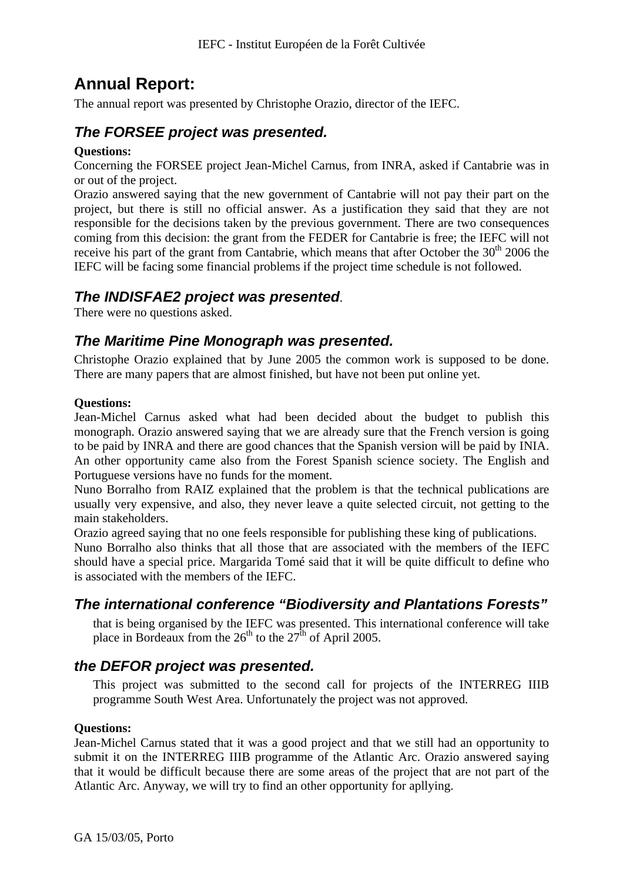# **Annual Report:**

The annual report was presented by Christophe Orazio, director of the IEFC.

# *The FORSEE project was presented.*

### **Questions:**

Concerning the FORSEE project Jean-Michel Carnus, from INRA, asked if Cantabrie was in or out of the project.

Orazio answered saying that the new government of Cantabrie will not pay their part on the project, but there is still no official answer. As a justification they said that they are not responsible for the decisions taken by the previous government. There are two consequences coming from this decision: the grant from the FEDER for Cantabrie is free; the IEFC will not receive his part of the grant from Cantabrie, which means that after October the  $30<sup>th</sup>$  2006 the IEFC will be facing some financial problems if the project time schedule is not followed.

## *The INDISFAE2 project was presented*.

There were no questions asked.

# *The Maritime Pine Monograph was presented.*

Christophe Orazio explained that by June 2005 the common work is supposed to be done. There are many papers that are almost finished, but have not been put online yet.

### **Questions:**

Jean-Michel Carnus asked what had been decided about the budget to publish this monograph. Orazio answered saying that we are already sure that the French version is going to be paid by INRA and there are good chances that the Spanish version will be paid by INIA. An other opportunity came also from the Forest Spanish science society. The English and Portuguese versions have no funds for the moment.

Nuno Borralho from RAIZ explained that the problem is that the technical publications are usually very expensive, and also, they never leave a quite selected circuit, not getting to the main stakeholders.

Orazio agreed saying that no one feels responsible for publishing these king of publications.

Nuno Borralho also thinks that all those that are associated with the members of the IEFC should have a special price. Margarida Tomé said that it will be quite difficult to define who is associated with the members of the IEFC.

# *The international conference "Biodiversity and Plantations Forests"*

that is being organised by the IEFC was presented. This international conference will take place in Bordeaux from the  $26<sup>th</sup>$  to the  $27<sup>th</sup>$  of April 2005.

# *the DEFOR project was presented.*

This project was submitted to the second call for projects of the INTERREG IIIB programme South West Area. Unfortunately the project was not approved.

### **Questions:**

Jean-Michel Carnus stated that it was a good project and that we still had an opportunity to submit it on the INTERREG IIIB programme of the Atlantic Arc. Orazio answered saying that it would be difficult because there are some areas of the project that are not part of the Atlantic Arc. Anyway, we will try to find an other opportunity for apllying.